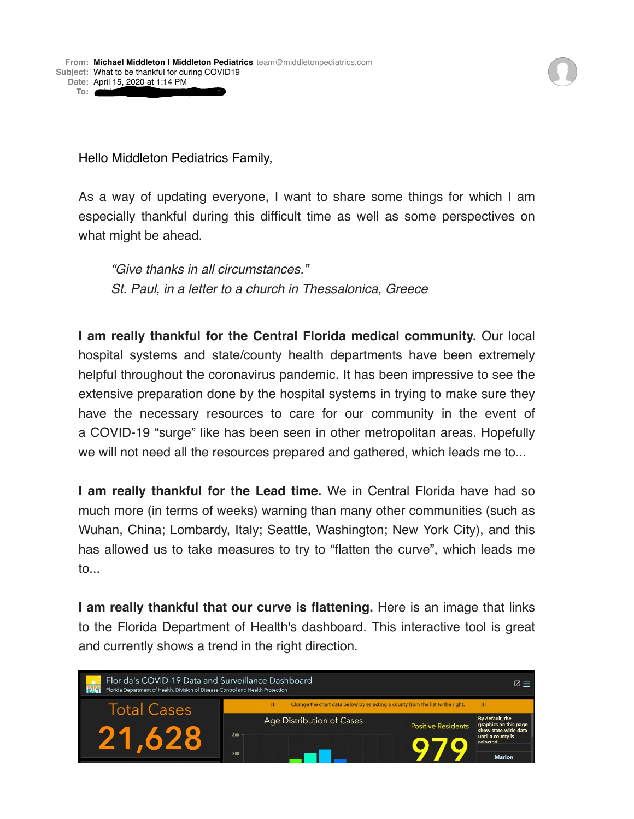Hello Middleton Pediatrics Family,

**To:** [michaelallenmiddleton@gmail.com](mailto:michaelallenmiddleton@gmail.com)

As a way of updating everyone, I want to share some things for which I am especially thankful during this difficult time as well as some perspectives on what might be ahead.

*"Give thanks in all circumstances." St. Paul, in a letter to a church in Thessalonica, Greece*

**I am really thankful for the Central Florida medical community.** Our local hospital systems and state/county health departments have been extremely helpful throughout the coronavirus pandemic. It has been impressive to see the extensive preparation done by the hospital systems in trying to make sure they have the necessary resources to care for our community in the event of a COVID-19 "surge" like has been seen in other metropolitan areas. Hopefully we will not need all the resources prepared and gathered, which leads me to...

**I am really thankful for the Lead time.** We in Central Florida have had so much more (in terms of weeks) warning than many other communities (such as Wuhan, China; Lombardy, Italy; Seattle, Washington; New York City), and this has allowed us to take measures to try to "flatten the curve", which leads me to...

**I am really thankful that our curve is flattening.** Here is an image that links to the Florida Department of Health's dashboard. This interactive tool is great and currently shows a trend in the right direction.

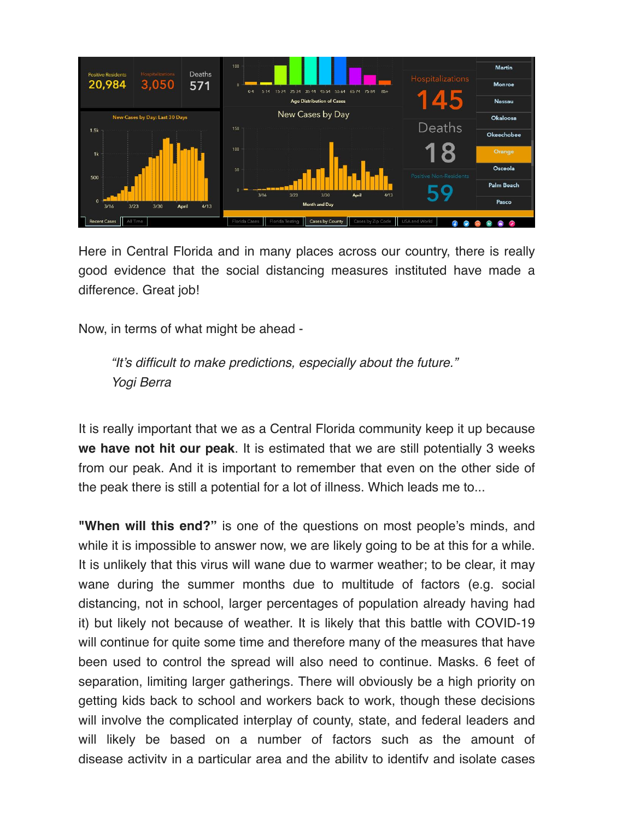

Here in Central Florida and in many places across our country, there is really good evidence that the social distancing measures instituted have made a difference. Great job!

Now, in terms of what might be ahead -

*"It's difficult to make predictions, especially about the future." Yogi Berra*

It is really important that we as a Central Florida community keep it up because **we have not hit our peak**. It is estimated that we are still potentially 3 weeks from our peak. And it is important to remember that even on the other side of the peak there is still a potential for a lot of illness. Which leads me to...

**"When will this end?"** is one of the questions on most people's minds, and while it is impossible to answer now, we are likely going to be at this for a while. It is unlikely that this virus will wane due to warmer weather; to be clear, it may wane during the summer months due to multitude of factors (e.g. social distancing, not in school, larger percentages of population already having had it) but likely not because of weather. It is likely that this battle with COVID-19 will continue for quite some time and therefore many of the measures that have been used to control the spread will also need to continue. Masks. 6 feet of separation, limiting larger gatherings. There will obviously be a high priority on getting kids back to school and workers back to work, though these decisions will involve the complicated interplay of county, state, and federal leaders and will likely be based on a number of factors such as the amount of disease activity in a particular area and the ability to identify and isolate cases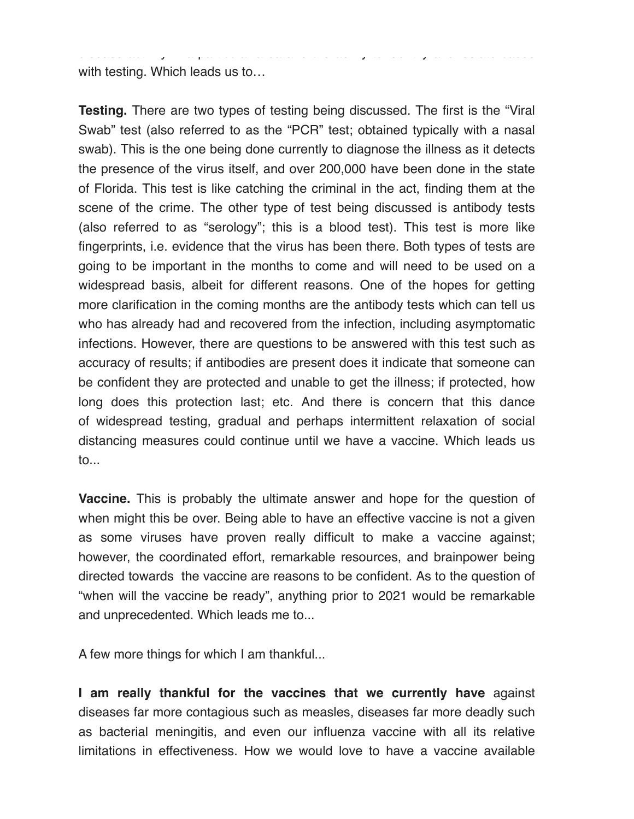with testing. Which leads us to…

**Testing.** There are two types of testing being discussed. The first is the "Viral Swab" test (also referred to as the "PCR" test; obtained typically with a nasal swab). This is the one being done currently to diagnose the illness as it detects the presence of the virus itself, and over 200,000 have been done in the state of Florida. This test is like catching the criminal in the act, finding them at the scene of the crime. The other type of test being discussed is antibody tests (also referred to as "serology"; this is a blood test). This test is more like fingerprints, i.e. evidence that the virus has been there. Both types of tests are going to be important in the months to come and will need to be used on a widespread basis, albeit for different reasons. One of the hopes for getting more clarification in the coming months are the antibody tests which can tell us who has already had and recovered from the infection, including asymptomatic infections. However, there are questions to be answered with this test such as accuracy of results; if antibodies are present does it indicate that someone can be confident they are protected and unable to get the illness; if protected, how long does this protection last; etc. And there is concern that this dance of widespread testing, gradual and perhaps intermittent relaxation of social distancing measures could continue until we have a vaccine. Which leads us to...

disease activity in a particular area and the ability to identify and isolate cases

**Vaccine.** This is probably the ultimate answer and hope for the question of when might this be over. Being able to have an effective vaccine is not a given as some viruses have proven really difficult to make a vaccine against; however, the coordinated effort, remarkable resources, and brainpower being directed towards the vaccine are reasons to be confident. As to the question of "when will the vaccine be ready", anything prior to 2021 would be remarkable and unprecedented. Which leads me to...

A few more things for which I am thankful...

**I am really thankful for the vaccines that we currently have** against diseases far more contagious such as measles, diseases far more deadly such as bacterial meningitis, and even our influenza vaccine with all its relative limitations in effectiveness. How we would love to have a vaccine available